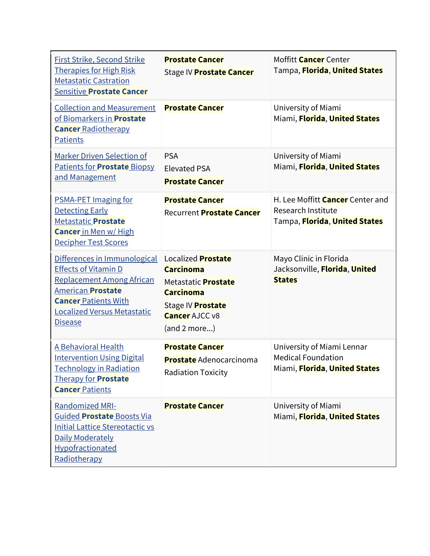| <b>First Strike, Second Strike</b><br><b>Therapies for High Risk</b><br><b>Metastatic Castration</b><br><b>Sensitive Prostate Cancer</b>                                                                           | <b>Prostate Cancer</b><br>Stage IV Prostate Cancer                                                                                                                   | Moffitt <b>Cancer</b> Center<br>Tampa, Florida, United States                                  |
|--------------------------------------------------------------------------------------------------------------------------------------------------------------------------------------------------------------------|----------------------------------------------------------------------------------------------------------------------------------------------------------------------|------------------------------------------------------------------------------------------------|
| <b>Collection and Measurement</b><br>of Biomarkers in Prostate<br><b>Cancer Radiotherapy</b><br><b>Patients</b>                                                                                                    | <b>Prostate Cancer</b>                                                                                                                                               | University of Miami<br>Miami, Florida, United States                                           |
| <b>Marker Driven Selection of</b><br><b>Patients for Prostate Biopsy</b><br>and Management                                                                                                                         | <b>PSA</b><br><b>Elevated PSA</b><br><b>Prostate Cancer</b>                                                                                                          | University of Miami<br>Miami, Florida, United States                                           |
| <b>PSMA-PET Imaging for</b><br><b>Detecting Early</b><br><b>Metastatic Prostate</b><br><b>Cancer</b> in Men w/ High<br>Decipher Test Scores                                                                        | <b>Prostate Cancer</b><br><b>Recurrent Prostate Cancer</b>                                                                                                           | H. Lee Moffitt <b>Cancer</b> Center and<br>Research Institute<br>Tampa, Florida, United States |
| Differences in Immunological<br><b>Effects of Vitamin D</b><br><b>Replacement Among African</b><br><b>American Prostate</b><br><b>Cancer Patients With</b><br><b>Localized Versus Metastatic</b><br><b>Disease</b> | Localized <b>Prostate</b><br><b>Carcinoma</b><br>Metastatic <b>Prostate</b><br><b>Carcinoma</b><br>Stage IV <b>Prostate</b><br><b>Cancer AJCC v8</b><br>(and 2 more) | Mayo Clinic in Florida<br>Jacksonville, Florida, United<br><b>States</b>                       |
| A Behavioral Health<br><b>Intervention Using Digital</b><br><b>Technology in Radiation</b><br><b>Therapy for Prostate</b><br><b>Cancer Patients</b>                                                                | <b>Prostate Cancer</b><br><b>Prostate</b> Adenocarcinoma<br><b>Radiation Toxicity</b>                                                                                | University of Miami Lennar<br><b>Medical Foundation</b><br>Miami, Florida, United States       |
| <b>Randomized MRI-</b><br>Guided Prostate Boosts Via<br><b>Initial Lattice Stereotactic vs</b><br>Daily Moderately<br>Hypofractionated<br>Radiotherapy                                                             | <b>Prostate Cancer</b>                                                                                                                                               | University of Miami<br>Miami, Florida, United States                                           |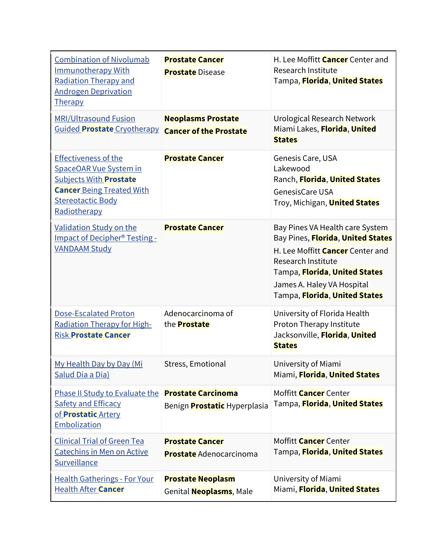| <b>Combination of Nivolumab</b><br><b>Immunotherapy With</b><br><b>Radiation Therapy and</b><br><b>Androgen Deprivation</b><br>Therapy                                 | <b>Prostate Cancer</b><br><b>Prostate Disease</b>                | H. Lee Moffitt <b>Cancer</b> Center and<br>Research Institute<br>Tampa, Florida, United States                                                                                                                                        |
|------------------------------------------------------------------------------------------------------------------------------------------------------------------------|------------------------------------------------------------------|---------------------------------------------------------------------------------------------------------------------------------------------------------------------------------------------------------------------------------------|
| <b>MRI/Ultrasound Fusion</b><br>Guided Prostate Cryotherapy                                                                                                            | <b>Neoplasms Prostate</b><br><b>Cancer of the Prostate</b>       | Urological Research Network<br>Miami Lakes, Florida, United<br><b>States</b>                                                                                                                                                          |
| <b>Effectiveness of the</b><br>SpaceOAR Vue System in<br><b>Subjects With Prostate</b><br><b>Cancer Being Treated With</b><br><b>Stereotactic Body</b><br>Radiotherapy | <b>Prostate Cancer</b>                                           | Genesis Care, USA<br>Lakewood<br>Ranch, Florida, United States<br><b>GenesisCare USA</b><br>Troy, Michigan, <b>United States</b>                                                                                                      |
| Validation Study on the<br>Impact of Decipher <sup>®</sup> Testing -<br><b>VANDAAM Study</b>                                                                           | <b>Prostate Cancer</b>                                           | Bay Pines VA Health care System<br>Bay Pines, Florida, United States<br>H. Lee Moffitt <b>Cancer</b> Center and<br>Research Institute<br>Tampa, Florida, United States<br>James A. Haley VA Hospital<br>Tampa, Florida, United States |
| <b>Dose-Escalated Proton</b><br>Radiation Therapy for High-<br><b>Risk Prostate Cancer</b>                                                                             | Adenocarcinoma of<br>the <b>Prostate</b>                         | University of Florida Health<br>Proton Therapy Institute<br>Jacksonville, Florida, United<br><b>States</b>                                                                                                                            |
| My Health Day by Day (Mi<br>Salud Dia a Dia)                                                                                                                           | Stress, Emotional                                                | University of Miami<br>Miami, Florida, United States                                                                                                                                                                                  |
| Phase II Study to Evaluate the<br><b>Safety and Efficacy</b><br>of <b>Prostatic</b> Artery<br>Embolization                                                             | <b>Prostate Carcinoma</b><br>Benign <b>Prostatic</b> Hyperplasia | Moffitt <b>Cancer</b> Center<br>Tampa, <mark>Florida</mark> , <b>United States</b>                                                                                                                                                    |
| <b>Clinical Trial of Green Tea</b><br><b>Catechins in Men on Active</b><br><b>Surveillance</b>                                                                         | <b>Prostate Cancer</b><br><b>Prostate</b> Adenocarcinoma         | Moffitt <b>Cancer</b> Center<br>Tampa, Florida, United States                                                                                                                                                                         |
| <b>Health Gatherings - For Your</b><br><b>Health After Cancer</b>                                                                                                      | <b>Prostate Neoplasm</b><br>Genital <b>Neoplasms</b> , Male      | University of Miami<br>Miami, Florida, United States                                                                                                                                                                                  |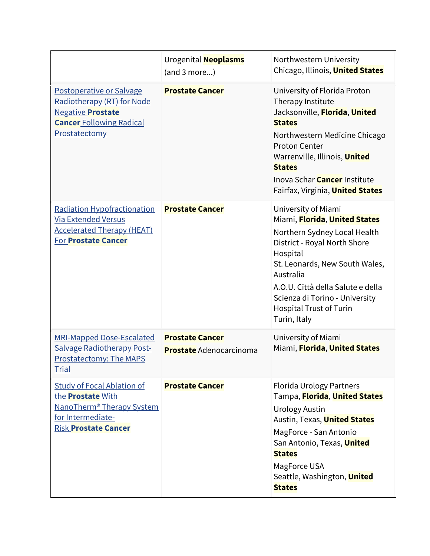|                                                                                                                                                            | Urogenital <b>Neoplasms</b><br>(and 3 more)              | Northwestern University<br>Chicago, Illinois, <b>United States</b>                                                                                                                                                                                                                                |
|------------------------------------------------------------------------------------------------------------------------------------------------------------|----------------------------------------------------------|---------------------------------------------------------------------------------------------------------------------------------------------------------------------------------------------------------------------------------------------------------------------------------------------------|
| Postoperative or Salvage<br>Radiotherapy (RT) for Node<br><b>Negative Prostate</b><br><b>Cancer Following Radical</b><br>Prostatectomy                     | <b>Prostate Cancer</b>                                   | University of Florida Proton<br>Therapy Institute<br>Jacksonville, Florida, United<br><b>States</b><br>Northwestern Medicine Chicago<br><b>Proton Center</b><br>Warrenville, Illinois, United<br><b>States</b><br>Inova Schar <b>Cancer</b> Institute<br>Fairfax, Virginia, <b>United States</b>  |
| <b>Radiation Hypofractionation</b><br><b>Via Extended Versus</b><br><b>Accelerated Therapy (HEAT)</b><br><b>For Prostate Cancer</b>                        | <b>Prostate Cancer</b>                                   | University of Miami<br>Miami, Florida, United States<br>Northern Sydney Local Health<br>District - Royal North Shore<br>Hospital<br>St. Leonards, New South Wales,<br>Australia<br>A.O.U. Città della Salute e della<br>Scienza di Torino - University<br>Hospital Trust of Turin<br>Turin, Italy |
| <b>MRI-Mapped Dose-Escalated</b><br><b>Salvage Radiotherapy Post-</b><br>Prostatectomy: The MAPS<br><u>Trial</u>                                           | <b>Prostate Cancer</b><br><b>Prostate</b> Adenocarcinoma | University of Miami<br>Miami, Florida, United States                                                                                                                                                                                                                                              |
| <b>Study of Focal Ablation of</b><br>the <b>Prostate</b> With<br>NanoTherm <sup>®</sup> Therapy System<br>for Intermediate-<br><b>Risk Prostate Cancer</b> | <b>Prostate Cancer</b>                                   | <b>Florida Urology Partners</b><br>Tampa, Florida, United States<br><b>Urology Austin</b><br>Austin, Texas, <b>United States</b><br>MagForce - San Antonio<br>San Antonio, Texas, United<br><b>States</b><br>MagForce USA<br>Seattle, Washington, <b>United</b><br><b>States</b>                  |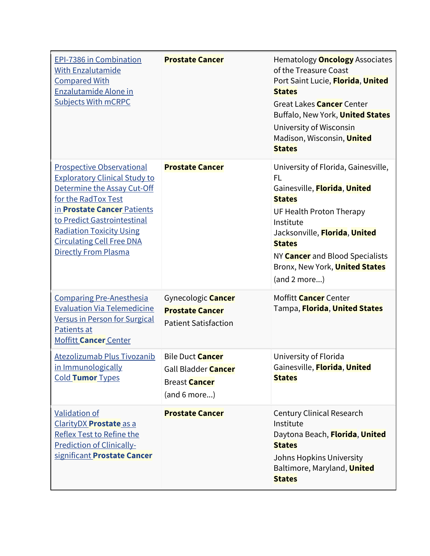| EPI-7386 in Combination<br><b>With Enzalutamide</b><br><b>Compared With</b><br>Enzalutamide Alone in<br><b>Subjects With mCRPC</b>                                                                                                                                                                        | <b>Prostate Cancer</b>                                                                        | Hematology <b>Oncology</b> Associates<br>of the Treasure Coast<br>Port Saint Lucie, Florida, United<br><b>States</b><br>Great Lakes <b>Cancer</b> Center<br>Buffalo, New York, United States<br>University of Wisconsin<br>Madison, Wisconsin, United<br><b>States</b>                   |
|-----------------------------------------------------------------------------------------------------------------------------------------------------------------------------------------------------------------------------------------------------------------------------------------------------------|-----------------------------------------------------------------------------------------------|------------------------------------------------------------------------------------------------------------------------------------------------------------------------------------------------------------------------------------------------------------------------------------------|
| <b>Prospective Observational</b><br><b>Exploratory Clinical Study to</b><br>Determine the Assay Cut-Off<br>for the RadTox Test<br>in <b>Prostate Cancer</b> Patients<br>to Predict Gastrointestinal<br><b>Radiation Toxicity Using</b><br><b>Circulating Cell Free DNA</b><br><b>Directly From Plasma</b> | <b>Prostate Cancer</b>                                                                        | University of Florida, Gainesville,<br>FL<br>Gainesville, Florida, United<br><b>States</b><br>UF Health Proton Therapy<br>Institute<br>Jacksonville, Florida, United<br><b>States</b><br>NY <b>Cancer</b> and Blood Specialists<br>Bronx, New York, <b>United States</b><br>(and 2 more) |
| <b>Comparing Pre-Anesthesia</b><br><b>Evaluation Via Telemedicine</b><br>Versus in Person for Surgical<br>Patients at<br><b>Moffitt Cancer Center</b>                                                                                                                                                     | Gynecologic <b>Cancer</b><br><b>Prostate Cancer</b><br><b>Patient Satisfaction</b>            | Moffitt <b>Cancer</b> Center<br>Tampa, Florida, United States                                                                                                                                                                                                                            |
| Atezolizumab Plus Tivozanib<br>in Immunologically<br>Cold Tumor Types                                                                                                                                                                                                                                     | <b>Bile Duct Cancer</b><br>Gall Bladder <b>Cancer</b><br><b>Breast Cancer</b><br>(and 6 more) | University of Florida<br>Gainesville, Florida, United<br><b>States</b>                                                                                                                                                                                                                   |
| <b>Validation of</b><br>ClarityDX Prostate as a<br><b>Reflex Test to Refine the</b><br><b>Prediction of Clinically-</b><br>significant Prostate Cancer                                                                                                                                                    | <b>Prostate Cancer</b>                                                                        | <b>Century Clinical Research</b><br>Institute<br>Daytona Beach, Florida, United<br><b>States</b><br>Johns Hopkins University<br>Baltimore, Maryland, United<br><b>States</b>                                                                                                             |